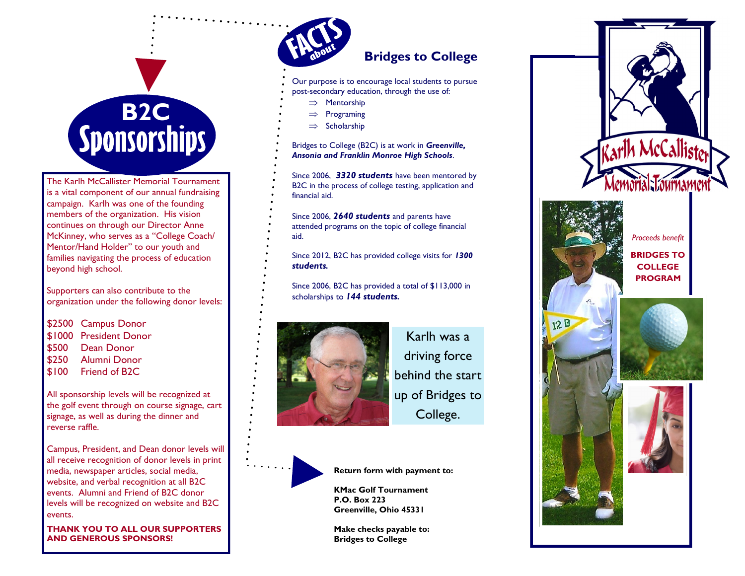# **Sponsorships**

The Karlh McCallister Memorial Tournament is a vital component of our annual fundraising campaign. Karlh was one of the founding members of the organization. His vision continues on through our Director Anne McKinney, who serves as a "College Coach/ Mentor/Hand Holder" to our youth and families navigating the process of education beyond high school.

Supporters can also contribute to the organization under the following donor levels:

\$2500 Campus Donor \$1000 President Donor \$500 Dean Donor \$250 Alumni Donor \$100 Friend of B2C

All sponsorship levels will be recognized at the golf event through on course signage, cart signage, as well as during the dinner and reverse raffle.

Campus, President, and Dean donor levels will all receive recognition of donor levels in print media, newspaper articles, social media, website, and verbal recognition at all B2C events. Alumni and Friend of B2C donor levels will be recognized on website and B2C events.

**THANK YOU TO ALL OUR SUPPORTERS AND GENEROUS SPONSORS!**



#### **Bridges to College**

- Our purpose is to encourage local students to pursue
- post -secondary education, through the use of:
	- $\implies$  Mentorship
	- $\implies$  Programing
- $\Rightarrow$  Scholarship

Bridges to College (B2C) is at work in *Greenville, Ansonia and Franklin Monroe High Schools* .

Since 2006, *3320 students* have been mentored by B2C in the process of college testing, application and financial aid.

Since 2006, *2640 students* and parents have attended programs on the topic of college financial aid.

Since 2012, B2C has provided college visits for *1300 students .*

Since 2006, B2C has provided a total of \$113,000 in scholarships to *144 students .*



Karlh was a driving force behind the start up of Bridges to College.



**Return form with payment to:**

**KMac Golf Tournament P.O. Box 223 Greenville, Ohio 45331**

**Make checks payable to: Bridges to College**